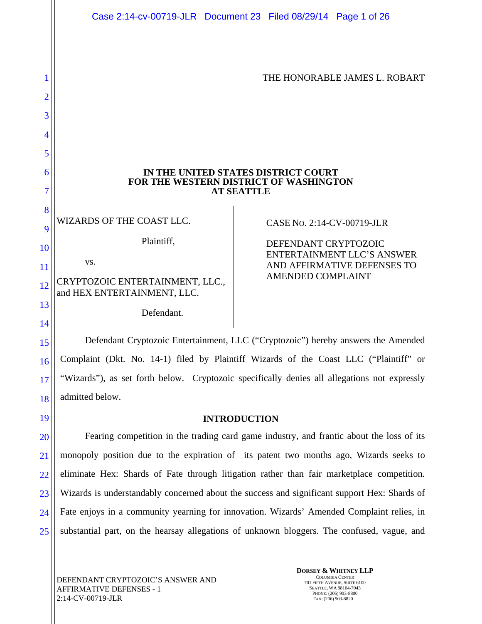|                    | Case 2:14-cv-00719-JLR  Document 23  Filed 08/29/14  Page 1 of 26                                  |                                                                                                                                             |  |                               |
|--------------------|----------------------------------------------------------------------------------------------------|---------------------------------------------------------------------------------------------------------------------------------------------|--|-------------------------------|
| 2<br>3             |                                                                                                    |                                                                                                                                             |  | THE HONORABLE JAMES L. ROBART |
| 4<br>5             |                                                                                                    |                                                                                                                                             |  |                               |
| 6<br>7             | IN THE UNITED STATES DISTRICT COURT<br>FOR THE WESTERN DISTRICT OF WASHINGTON<br><b>AT SEATTLE</b> |                                                                                                                                             |  |                               |
| 8<br>9<br>10<br>11 | WIZARDS OF THE COAST LLC.<br>Plaintiff,<br>VS.                                                     | CASE No. 2:14-CV-00719-JLR<br>DEFENDANT CRYPTOZOIC<br>ENTERTAINMENT LLC'S ANSWER<br>AND AFFIRMATIVE DEFENSES TO<br><b>AMENDED COMPLAINT</b> |  |                               |
| 12<br>13           | CRYPTOZOIC ENTERTAINMENT, LLC.,<br>and HEX ENTERTAINMENT, LLC.<br>Defendant.                       |                                                                                                                                             |  |                               |

Defendant Cryptozoic Entertainment, LLC ("Cryptozoic") hereby answers the Amended Complaint (Dkt. No. 14-1) filed by Plaintiff Wizards of the Coast LLC ("Plaintiff" or "Wizards"), as set forth below. Cryptozoic specifically denies all allegations not expressly admitted below.

# **INTRODUCTION**

20 21 22 23 24 25 Fearing competition in the trading card game industry, and frantic about the loss of its monopoly position due to the expiration of its patent two months ago, Wizards seeks to eliminate Hex: Shards of Fate through litigation rather than fair marketplace competition. Wizards is understandably concerned about the success and significant support Hex: Shards of Fate enjoys in a community yearning for innovation. Wizards' Amended Complaint relies, in substantial part, on the hearsay allegations of unknown bloggers. The confused, vague, and

15

16

17

18

19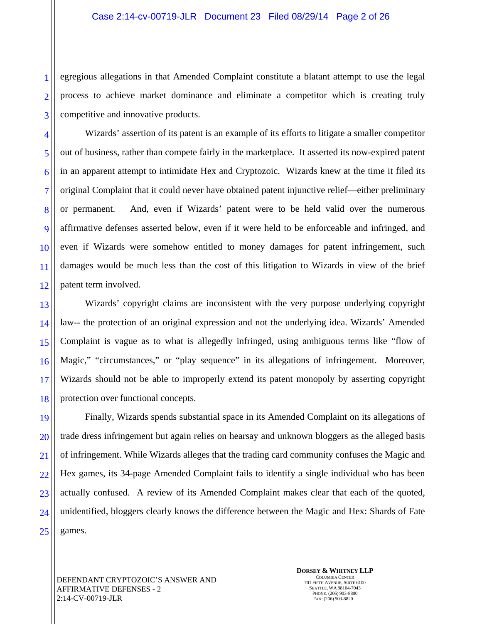3 egregious allegations in that Amended Complaint constitute a blatant attempt to use the legal process to achieve market dominance and eliminate a competitor which is creating truly competitive and innovative products.

Wizards' assertion of its patent is an example of its efforts to litigate a smaller competitor out of business, rather than compete fairly in the marketplace. It asserted its now-expired patent in an apparent attempt to intimidate Hex and Cryptozoic. Wizards knew at the time it filed its original Complaint that it could never have obtained patent injunctive relief—either preliminary or permanent. And, even if Wizards' patent were to be held valid over the numerous affirmative defenses asserted below, even if it were held to be enforceable and infringed, and even if Wizards were somehow entitled to money damages for patent infringement, such damages would be much less than the cost of this litigation to Wizards in view of the brief patent term involved.

18 Wizards' copyright claims are inconsistent with the very purpose underlying copyright law-- the protection of an original expression and not the underlying idea. Wizards' Amended Complaint is vague as to what is allegedly infringed, using ambiguous terms like "flow of Magic," "circumstances," or "play sequence" in its allegations of infringement. Moreover, Wizards should not be able to improperly extend its patent monopoly by asserting copyright protection over functional concepts.

19 20 21 22 23 24 25 Finally, Wizards spends substantial space in its Amended Complaint on its allegations of trade dress infringement but again relies on hearsay and unknown bloggers as the alleged basis of infringement. While Wizards alleges that the trading card community confuses the Magic and Hex games, its 34-page Amended Complaint fails to identify a single individual who has been actually confused. A review of its Amended Complaint makes clear that each of the quoted, unidentified, bloggers clearly knows the difference between the Magic and Hex: Shards of Fate games.

DEFENDANT CRYPTOZOIC'S ANSWER AND AFFIRMATIVE DEFENSES - 2 2:14-CV-00719-JLR

1

2

4

5

6

7

8

9

10

11

12

13

14

15

16

17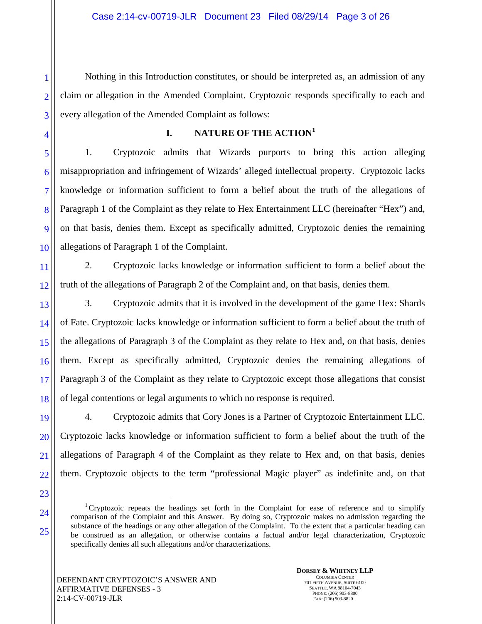Nothing in this Introduction constitutes, or should be interpreted as, an admission of any claim or allegation in the Amended Complaint. Cryptozoic responds specifically to each and every allegation of the Amended Complaint as follows:

1

2

3

4

5

6

7

8

9

10

# **I. NATURE OF THE ACTION<sup>1</sup>**

1. Cryptozoic admits that Wizards purports to bring this action alleging misappropriation and infringement of Wizards' alleged intellectual property. Cryptozoic lacks knowledge or information sufficient to form a belief about the truth of the allegations of Paragraph 1 of the Complaint as they relate to Hex Entertainment LLC (hereinafter "Hex") and, on that basis, denies them. Except as specifically admitted, Cryptozoic denies the remaining allegations of Paragraph 1 of the Complaint.

11 12 2. Cryptozoic lacks knowledge or information sufficient to form a belief about the truth of the allegations of Paragraph 2 of the Complaint and, on that basis, denies them.

13 14 15 16 17 18 3. Cryptozoic admits that it is involved in the development of the game Hex: Shards of Fate. Cryptozoic lacks knowledge or information sufficient to form a belief about the truth of the allegations of Paragraph 3 of the Complaint as they relate to Hex and, on that basis, denies them. Except as specifically admitted, Cryptozoic denies the remaining allegations of Paragraph 3 of the Complaint as they relate to Cryptozoic except those allegations that consist of legal contentions or legal arguments to which no response is required.

19 20 21 22 4. Cryptozoic admits that Cory Jones is a Partner of Cryptozoic Entertainment LLC. Cryptozoic lacks knowledge or information sufficient to form a belief about the truth of the allegations of Paragraph 4 of the Complaint as they relate to Hex and, on that basis, denies them. Cryptozoic objects to the term "professional Magic player" as indefinite and, on that

23 24

25

<sup>&</sup>lt;sup>1</sup>Cryptozoic repeats the headings set forth in the Complaint for ease of reference and to simplify comparison of the Complaint and this Answer. By doing so, Cryptozoic makes no admission regarding the substance of the headings or any other allegation of the Complaint. To the extent that a particular heading can be construed as an allegation, or otherwise contains a factual and/or legal characterization, Cryptozoic specifically denies all such allegations and/or characterizations.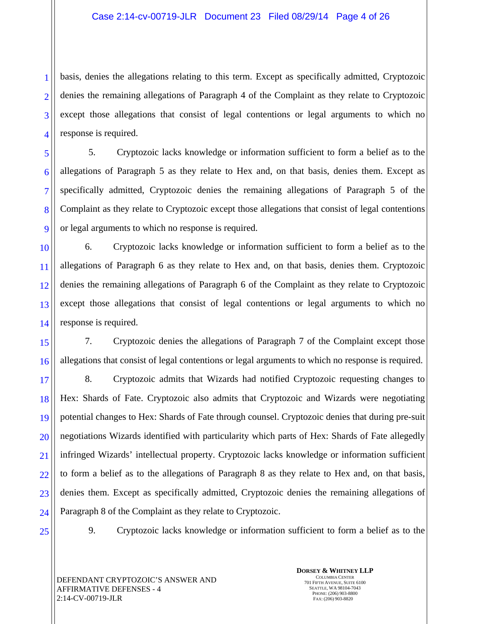3 basis, denies the allegations relating to this term. Except as specifically admitted, Cryptozoic denies the remaining allegations of Paragraph 4 of the Complaint as they relate to Cryptozoic except those allegations that consist of legal contentions or legal arguments to which no response is required.

5. Cryptozoic lacks knowledge or information sufficient to form a belief as to the allegations of Paragraph 5 as they relate to Hex and, on that basis, denies them. Except as specifically admitted, Cryptozoic denies the remaining allegations of Paragraph 5 of the Complaint as they relate to Cryptozoic except those allegations that consist of legal contentions or legal arguments to which no response is required.

10 14 6. Cryptozoic lacks knowledge or information sufficient to form a belief as to the allegations of Paragraph 6 as they relate to Hex and, on that basis, denies them. Cryptozoic denies the remaining allegations of Paragraph 6 of the Complaint as they relate to Cryptozoic except those allegations that consist of legal contentions or legal arguments to which no response is required.

15 16 7. Cryptozoic denies the allegations of Paragraph 7 of the Complaint except those allegations that consist of legal contentions or legal arguments to which no response is required.

17 18 19 20 21 22 23 24 8. Cryptozoic admits that Wizards had notified Cryptozoic requesting changes to Hex: Shards of Fate. Cryptozoic also admits that Cryptozoic and Wizards were negotiating potential changes to Hex: Shards of Fate through counsel. Cryptozoic denies that during pre-suit negotiations Wizards identified with particularity which parts of Hex: Shards of Fate allegedly infringed Wizards' intellectual property. Cryptozoic lacks knowledge or information sufficient to form a belief as to the allegations of Paragraph 8 as they relate to Hex and, on that basis, denies them. Except as specifically admitted, Cryptozoic denies the remaining allegations of Paragraph 8 of the Complaint as they relate to Cryptozoic.

25

1

2

4

5

6

7

8

9

11

12

13

9. Cryptozoic lacks knowledge or information sufficient to form a belief as to the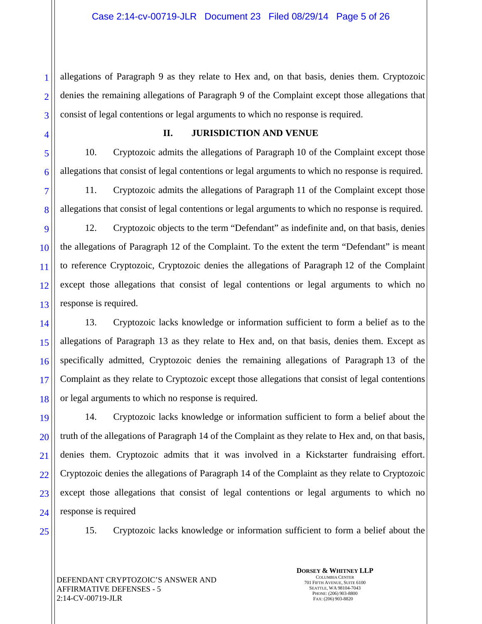2 3 allegations of Paragraph 9 as they relate to Hex and, on that basis, denies them. Cryptozoic denies the remaining allegations of Paragraph 9 of the Complaint except those allegations that consist of legal contentions or legal arguments to which no response is required.

4

5

6

7

8

1

#### **II. JURISDICTION AND VENUE**

10. Cryptozoic admits the allegations of Paragraph 10 of the Complaint except those allegations that consist of legal contentions or legal arguments to which no response is required.

11. Cryptozoic admits the allegations of Paragraph 11 of the Complaint except those allegations that consist of legal contentions or legal arguments to which no response is required.

9 10 11 12 13 12. Cryptozoic objects to the term "Defendant" as indefinite and, on that basis, denies the allegations of Paragraph 12 of the Complaint. To the extent the term "Defendant" is meant to reference Cryptozoic, Cryptozoic denies the allegations of Paragraph 12 of the Complaint except those allegations that consist of legal contentions or legal arguments to which no response is required.

14 15 16 17 18 13. Cryptozoic lacks knowledge or information sufficient to form a belief as to the allegations of Paragraph 13 as they relate to Hex and, on that basis, denies them. Except as specifically admitted, Cryptozoic denies the remaining allegations of Paragraph 13 of the Complaint as they relate to Cryptozoic except those allegations that consist of legal contentions or legal arguments to which no response is required.

19 20 21 22 23 24 14. Cryptozoic lacks knowledge or information sufficient to form a belief about the truth of the allegations of Paragraph 14 of the Complaint as they relate to Hex and, on that basis, denies them. Cryptozoic admits that it was involved in a Kickstarter fundraising effort. Cryptozoic denies the allegations of Paragraph 14 of the Complaint as they relate to Cryptozoic except those allegations that consist of legal contentions or legal arguments to which no response is required

25

15. Cryptozoic lacks knowledge or information sufficient to form a belief about the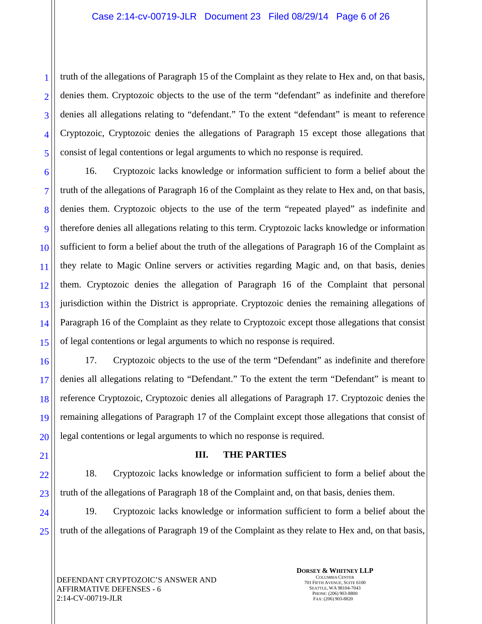3 5 truth of the allegations of Paragraph 15 of the Complaint as they relate to Hex and, on that basis, denies them. Cryptozoic objects to the use of the term "defendant" as indefinite and therefore denies all allegations relating to "defendant." To the extent "defendant" is meant to reference Cryptozoic, Cryptozoic denies the allegations of Paragraph 15 except those allegations that consist of legal contentions or legal arguments to which no response is required.

6 7 8 9 10 11 12 13 14 15 16. Cryptozoic lacks knowledge or information sufficient to form a belief about the truth of the allegations of Paragraph 16 of the Complaint as they relate to Hex and, on that basis, denies them. Cryptozoic objects to the use of the term "repeated played" as indefinite and therefore denies all allegations relating to this term. Cryptozoic lacks knowledge or information sufficient to form a belief about the truth of the allegations of Paragraph 16 of the Complaint as they relate to Magic Online servers or activities regarding Magic and, on that basis, denies them. Cryptozoic denies the allegation of Paragraph 16 of the Complaint that personal jurisdiction within the District is appropriate. Cryptozoic denies the remaining allegations of Paragraph 16 of the Complaint as they relate to Cryptozoic except those allegations that consist of legal contentions or legal arguments to which no response is required.

16 17 18 19 20 17. Cryptozoic objects to the use of the term "Defendant" as indefinite and therefore denies all allegations relating to "Defendant." To the extent the term "Defendant" is meant to reference Cryptozoic, Cryptozoic denies all allegations of Paragraph 17. Cryptozoic denies the remaining allegations of Paragraph 17 of the Complaint except those allegations that consist of legal contentions or legal arguments to which no response is required.

- 21
- 

1

2

4

# **III. THE PARTIES**

22 23 18. Cryptozoic lacks knowledge or information sufficient to form a belief about the truth of the allegations of Paragraph 18 of the Complaint and, on that basis, denies them.

24 25 19. Cryptozoic lacks knowledge or information sufficient to form a belief about the truth of the allegations of Paragraph 19 of the Complaint as they relate to Hex and, on that basis,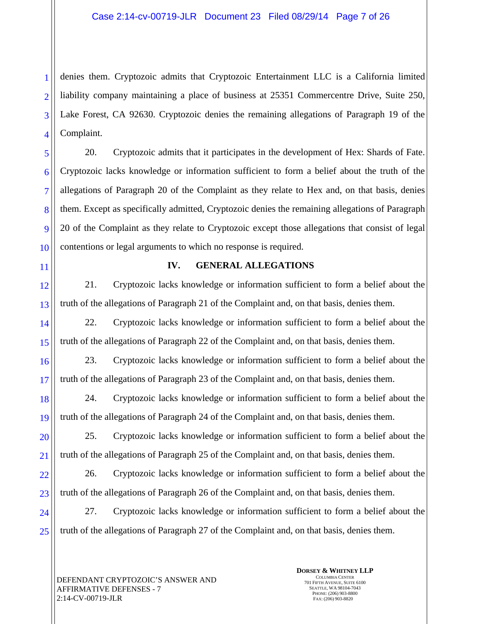2 3 4 denies them. Cryptozoic admits that Cryptozoic Entertainment LLC is a California limited liability company maintaining a place of business at 25351 Commercentre Drive, Suite 250, Lake Forest, CA 92630. Cryptozoic denies the remaining allegations of Paragraph 19 of the Complaint.

20. Cryptozoic admits that it participates in the development of Hex: Shards of Fate. Cryptozoic lacks knowledge or information sufficient to form a belief about the truth of the allegations of Paragraph 20 of the Complaint as they relate to Hex and, on that basis, denies them. Except as specifically admitted, Cryptozoic denies the remaining allegations of Paragraph 20 of the Complaint as they relate to Cryptozoic except those allegations that consist of legal contentions or legal arguments to which no response is required.

11

1

5

6

7

8

9

10

## **IV. GENERAL ALLEGATIONS**

12 13 21. Cryptozoic lacks knowledge or information sufficient to form a belief about the truth of the allegations of Paragraph 21 of the Complaint and, on that basis, denies them.

14 15 22. Cryptozoic lacks knowledge or information sufficient to form a belief about the truth of the allegations of Paragraph 22 of the Complaint and, on that basis, denies them.

16 17 23. Cryptozoic lacks knowledge or information sufficient to form a belief about the truth of the allegations of Paragraph 23 of the Complaint and, on that basis, denies them.

18 19 24. Cryptozoic lacks knowledge or information sufficient to form a belief about the truth of the allegations of Paragraph 24 of the Complaint and, on that basis, denies them.

20 21 25. Cryptozoic lacks knowledge or information sufficient to form a belief about the truth of the allegations of Paragraph 25 of the Complaint and, on that basis, denies them.

22 23 26. Cryptozoic lacks knowledge or information sufficient to form a belief about the truth of the allegations of Paragraph 26 of the Complaint and, on that basis, denies them.

24 25 27. Cryptozoic lacks knowledge or information sufficient to form a belief about the truth of the allegations of Paragraph 27 of the Complaint and, on that basis, denies them.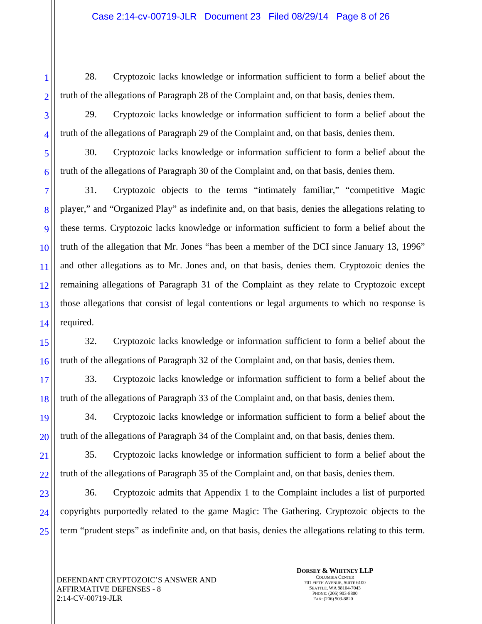28. Cryptozoic lacks knowledge or information sufficient to form a belief about the truth of the allegations of Paragraph 28 of the Complaint and, on that basis, denies them.

29. Cryptozoic lacks knowledge or information sufficient to form a belief about the truth of the allegations of Paragraph 29 of the Complaint and, on that basis, denies them.

30. Cryptozoic lacks knowledge or information sufficient to form a belief about the truth of the allegations of Paragraph 30 of the Complaint and, on that basis, denies them.

31. Cryptozoic objects to the terms "intimately familiar," "competitive Magic player," and "Organized Play" as indefinite and, on that basis, denies the allegations relating to these terms. Cryptozoic lacks knowledge or information sufficient to form a belief about the truth of the allegation that Mr. Jones "has been a member of the DCI since January 13, 1996" and other allegations as to Mr. Jones and, on that basis, denies them. Cryptozoic denies the remaining allegations of Paragraph 31 of the Complaint as they relate to Cryptozoic except those allegations that consist of legal contentions or legal arguments to which no response is required.

32. Cryptozoic lacks knowledge or information sufficient to form a belief about the truth of the allegations of Paragraph 32 of the Complaint and, on that basis, denies them.

33. Cryptozoic lacks knowledge or information sufficient to form a belief about the truth of the allegations of Paragraph 33 of the Complaint and, on that basis, denies them.

34. Cryptozoic lacks knowledge or information sufficient to form a belief about the truth of the allegations of Paragraph 34 of the Complaint and, on that basis, denies them.

35. Cryptozoic lacks knowledge or information sufficient to form a belief about the truth of the allegations of Paragraph 35 of the Complaint and, on that basis, denies them.

36. Cryptozoic admits that Appendix 1 to the Complaint includes a list of purported copyrights purportedly related to the game Magic: The Gathering. Cryptozoic objects to the term "prudent steps" as indefinite and, on that basis, denies the allegations relating to this term.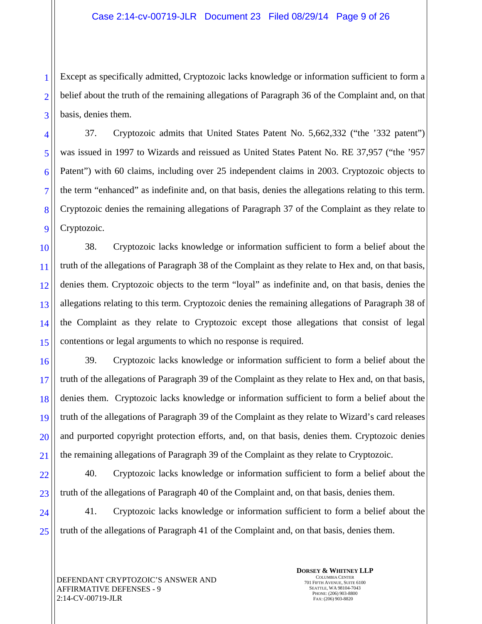Except as specifically admitted, Cryptozoic lacks knowledge or information sufficient to form a belief about the truth of the remaining allegations of Paragraph 36 of the Complaint and, on that basis, denies them.

37. Cryptozoic admits that United States Patent No. 5,662,332 ("the '332 patent") was issued in 1997 to Wizards and reissued as United States Patent No. RE 37,957 ("the '957 Patent") with 60 claims, including over 25 independent claims in 2003. Cryptozoic objects to the term "enhanced" as indefinite and, on that basis, denies the allegations relating to this term. Cryptozoic denies the remaining allegations of Paragraph 37 of the Complaint as they relate to Cryptozoic.

10 11 12 13 14 15 38. Cryptozoic lacks knowledge or information sufficient to form a belief about the truth of the allegations of Paragraph 38 of the Complaint as they relate to Hex and, on that basis, denies them. Cryptozoic objects to the term "loyal" as indefinite and, on that basis, denies the allegations relating to this term. Cryptozoic denies the remaining allegations of Paragraph 38 of the Complaint as they relate to Cryptozoic except those allegations that consist of legal contentions or legal arguments to which no response is required.

16 17 18 19 20 21 39. Cryptozoic lacks knowledge or information sufficient to form a belief about the truth of the allegations of Paragraph 39 of the Complaint as they relate to Hex and, on that basis, denies them. Cryptozoic lacks knowledge or information sufficient to form a belief about the truth of the allegations of Paragraph 39 of the Complaint as they relate to Wizard's card releases and purported copyright protection efforts, and, on that basis, denies them. Cryptozoic denies the remaining allegations of Paragraph 39 of the Complaint as they relate to Cryptozoic.

22 23 40. Cryptozoic lacks knowledge or information sufficient to form a belief about the truth of the allegations of Paragraph 40 of the Complaint and, on that basis, denies them.

24 25 41. Cryptozoic lacks knowledge or information sufficient to form a belief about the truth of the allegations of Paragraph 41 of the Complaint and, on that basis, denies them.

1

2

3

4

5

6

7

8

9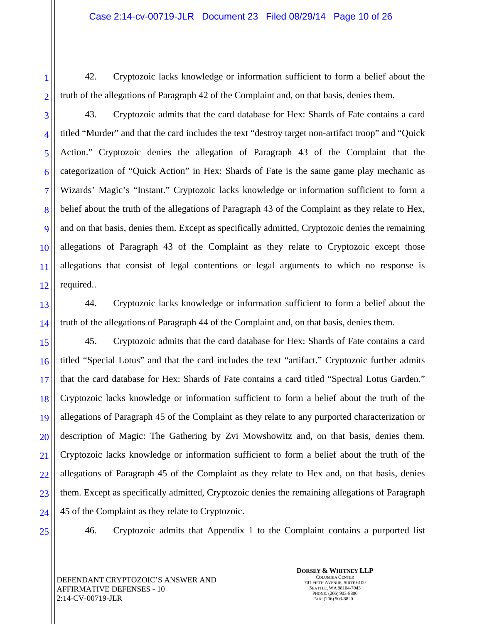42. Cryptozoic lacks knowledge or information sufficient to form a belief about the truth of the allegations of Paragraph 42 of the Complaint and, on that basis, denies them.

43. Cryptozoic admits that the card database for Hex: Shards of Fate contains a card titled "Murder" and that the card includes the text "destroy target non-artifact troop" and "Quick Action." Cryptozoic denies the allegation of Paragraph 43 of the Complaint that the categorization of "Quick Action" in Hex: Shards of Fate is the same game play mechanic as Wizards' Magic's "Instant." Cryptozoic lacks knowledge or information sufficient to form a belief about the truth of the allegations of Paragraph 43 of the Complaint as they relate to Hex, and on that basis, denies them. Except as specifically admitted, Cryptozoic denies the remaining allegations of Paragraph 43 of the Complaint as they relate to Cryptozoic except those allegations that consist of legal contentions or legal arguments to which no response is required..

13 14 44. Cryptozoic lacks knowledge or information sufficient to form a belief about the truth of the allegations of Paragraph 44 of the Complaint and, on that basis, denies them.

15 16 17 18 19 20 21 22 23 24 45. Cryptozoic admits that the card database for Hex: Shards of Fate contains a card titled "Special Lotus" and that the card includes the text "artifact." Cryptozoic further admits that the card database for Hex: Shards of Fate contains a card titled "Spectral Lotus Garden." Cryptozoic lacks knowledge or information sufficient to form a belief about the truth of the allegations of Paragraph 45 of the Complaint as they relate to any purported characterization or description of Magic: The Gathering by Zvi Mowshowitz and, on that basis, denies them. Cryptozoic lacks knowledge or information sufficient to form a belief about the truth of the allegations of Paragraph 45 of the Complaint as they relate to Hex and, on that basis, denies them. Except as specifically admitted, Cryptozoic denies the remaining allegations of Paragraph 45 of the Complaint as they relate to Cryptozoic.

25

1

2

3

4

5

6

7

8

9

10

11

12

46. Cryptozoic admits that Appendix 1 to the Complaint contains a purported list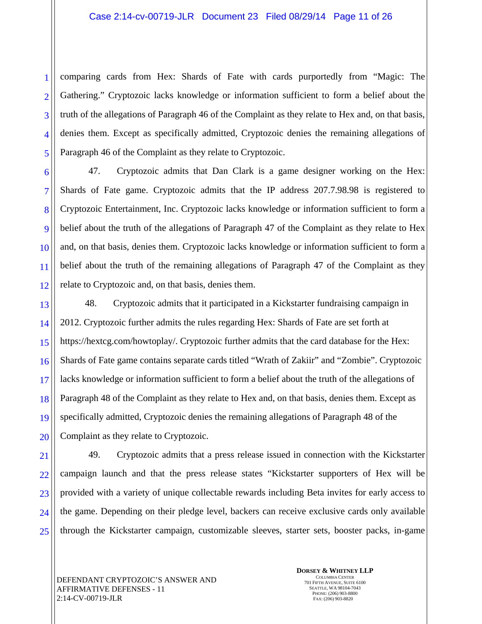2 comparing cards from Hex: Shards of Fate with cards purportedly from "Magic: The Gathering." Cryptozoic lacks knowledge or information sufficient to form a belief about the truth of the allegations of Paragraph 46 of the Complaint as they relate to Hex and, on that basis, denies them. Except as specifically admitted, Cryptozoic denies the remaining allegations of Paragraph 46 of the Complaint as they relate to Cryptozoic.

47. Cryptozoic admits that Dan Clark is a game designer working on the Hex: Shards of Fate game. Cryptozoic admits that the IP address 207.7.98.98 is registered to Cryptozoic Entertainment, Inc. Cryptozoic lacks knowledge or information sufficient to form a belief about the truth of the allegations of Paragraph 47 of the Complaint as they relate to Hex and, on that basis, denies them. Cryptozoic lacks knowledge or information sufficient to form a belief about the truth of the remaining allegations of Paragraph 47 of the Complaint as they relate to Cryptozoic and, on that basis, denies them.

48. Cryptozoic admits that it participated in a Kickstarter fundraising campaign in 2012. Cryptozoic further admits the rules regarding Hex: Shards of Fate are set forth at https://hextcg.com/howtoplay/. Cryptozoic further admits that the card database for the Hex: Shards of Fate game contains separate cards titled "Wrath of Zakiir" and "Zombie". Cryptozoic lacks knowledge or information sufficient to form a belief about the truth of the allegations of Paragraph 48 of the Complaint as they relate to Hex and, on that basis, denies them. Except as specifically admitted, Cryptozoic denies the remaining allegations of Paragraph 48 of the Complaint as they relate to Cryptozoic.

49. Cryptozoic admits that a press release issued in connection with the Kickstarter campaign launch and that the press release states "Kickstarter supporters of Hex will be provided with a variety of unique collectable rewards including Beta invites for early access to the game. Depending on their pledge level, backers can receive exclusive cards only available through the Kickstarter campaign, customizable sleeves, starter sets, booster packs, in-game

**DORSEY & WHITNEY LLP** COLUMBIA CENTER 701 FIFTH AVENUE, SUITE 6100 SEATTLE, WA 98104-7043 PHONE: (206) 903-8800 FAX: (206) 903-8820

1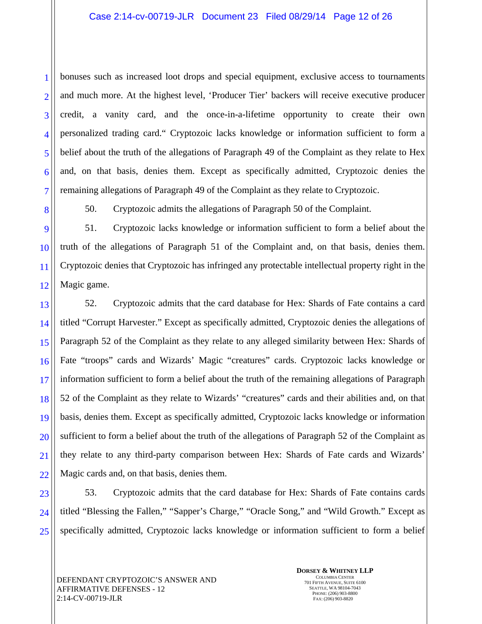bonuses such as increased loot drops and special equipment, exclusive access to tournaments and much more. At the highest level, 'Producer Tier' backers will receive executive producer credit, a vanity card, and the once-in-a-lifetime opportunity to create their own personalized trading card." Cryptozoic lacks knowledge or information sufficient to form a belief about the truth of the allegations of Paragraph 49 of the Complaint as they relate to Hex and, on that basis, denies them. Except as specifically admitted, Cryptozoic denies the remaining allegations of Paragraph 49 of the Complaint as they relate to Cryptozoic.

50. Cryptozoic admits the allegations of Paragraph 50 of the Complaint.

51. Cryptozoic lacks knowledge or information sufficient to form a belief about the truth of the allegations of Paragraph 51 of the Complaint and, on that basis, denies them. Cryptozoic denies that Cryptozoic has infringed any protectable intellectual property right in the Magic game.

52. Cryptozoic admits that the card database for Hex: Shards of Fate contains a card titled "Corrupt Harvester." Except as specifically admitted, Cryptozoic denies the allegations of Paragraph 52 of the Complaint as they relate to any alleged similarity between Hex: Shards of Fate "troops" cards and Wizards' Magic "creatures" cards. Cryptozoic lacks knowledge or information sufficient to form a belief about the truth of the remaining allegations of Paragraph 52 of the Complaint as they relate to Wizards' "creatures" cards and their abilities and, on that basis, denies them. Except as specifically admitted, Cryptozoic lacks knowledge or information sufficient to form a belief about the truth of the allegations of Paragraph 52 of the Complaint as they relate to any third-party comparison between Hex: Shards of Fate cards and Wizards' Magic cards and, on that basis, denies them.

53. Cryptozoic admits that the card database for Hex: Shards of Fate contains cards titled "Blessing the Fallen," "Sapper's Charge," "Oracle Song," and "Wild Growth." Except as specifically admitted, Cryptozoic lacks knowledge or information sufficient to form a belief

1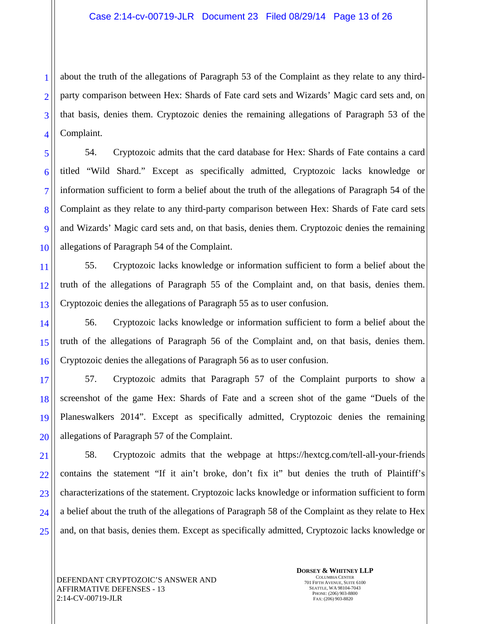3 about the truth of the allegations of Paragraph 53 of the Complaint as they relate to any thirdparty comparison between Hex: Shards of Fate card sets and Wizards' Magic card sets and, on that basis, denies them. Cryptozoic denies the remaining allegations of Paragraph 53 of the Complaint.

54. Cryptozoic admits that the card database for Hex: Shards of Fate contains a card titled "Wild Shard." Except as specifically admitted, Cryptozoic lacks knowledge or information sufficient to form a belief about the truth of the allegations of Paragraph 54 of the Complaint as they relate to any third-party comparison between Hex: Shards of Fate card sets and Wizards' Magic card sets and, on that basis, denies them. Cryptozoic denies the remaining allegations of Paragraph 54 of the Complaint.

11 12 13 55. Cryptozoic lacks knowledge or information sufficient to form a belief about the truth of the allegations of Paragraph 55 of the Complaint and, on that basis, denies them. Cryptozoic denies the allegations of Paragraph 55 as to user confusion.

14 15 16 56. Cryptozoic lacks knowledge or information sufficient to form a belief about the truth of the allegations of Paragraph 56 of the Complaint and, on that basis, denies them. Cryptozoic denies the allegations of Paragraph 56 as to user confusion.

17 18 19 20 57. Cryptozoic admits that Paragraph 57 of the Complaint purports to show a screenshot of the game Hex: Shards of Fate and a screen shot of the game "Duels of the Planeswalkers 2014". Except as specifically admitted, Cryptozoic denies the remaining allegations of Paragraph 57 of the Complaint.

21 22 23 24 25 58. Cryptozoic admits that the webpage at https://hextcg.com/tell-all-your-friends contains the statement "If it ain't broke, don't fix it" but denies the truth of Plaintiff's characterizations of the statement. Cryptozoic lacks knowledge or information sufficient to form a belief about the truth of the allegations of Paragraph 58 of the Complaint as they relate to Hex and, on that basis, denies them. Except as specifically admitted, Cryptozoic lacks knowledge or

1

2

4

5

6

7

8

9

10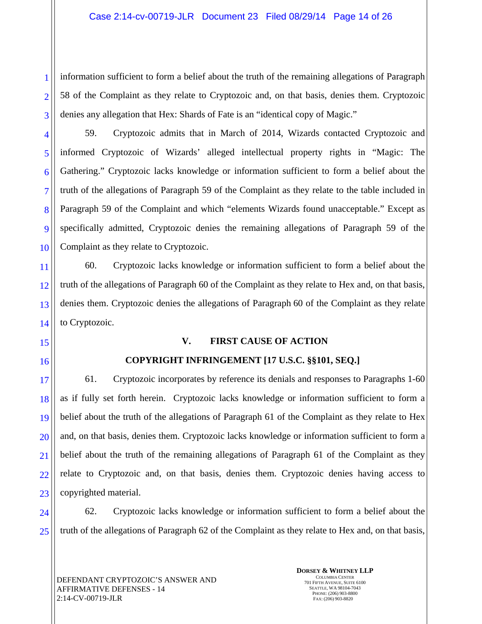information sufficient to form a belief about the truth of the remaining allegations of Paragraph 58 of the Complaint as they relate to Cryptozoic and, on that basis, denies them. Cryptozoic denies any allegation that Hex: Shards of Fate is an "identical copy of Magic."

59. Cryptozoic admits that in March of 2014, Wizards contacted Cryptozoic and informed Cryptozoic of Wizards' alleged intellectual property rights in "Magic: The Gathering." Cryptozoic lacks knowledge or information sufficient to form a belief about the truth of the allegations of Paragraph 59 of the Complaint as they relate to the table included in Paragraph 59 of the Complaint and which "elements Wizards found unacceptable." Except as specifically admitted, Cryptozoic denies the remaining allegations of Paragraph 59 of the Complaint as they relate to Cryptozoic.

14 60. Cryptozoic lacks knowledge or information sufficient to form a belief about the truth of the allegations of Paragraph 60 of the Complaint as they relate to Hex and, on that basis, denies them. Cryptozoic denies the allegations of Paragraph 60 of the Complaint as they relate to Cryptozoic.

15

1

2

3

4

5

6

7

8

9

10

11

12

13

16

17

18

19

20

21

22

23

#### **V. FIRST CAUSE OF ACTION**

## **COPYRIGHT INFRINGEMENT [17 U.S.C. §§101, SEQ.]**

61. Cryptozoic incorporates by reference its denials and responses to Paragraphs 1-60 as if fully set forth herein. Cryptozoic lacks knowledge or information sufficient to form a belief about the truth of the allegations of Paragraph 61 of the Complaint as they relate to Hex and, on that basis, denies them. Cryptozoic lacks knowledge or information sufficient to form a belief about the truth of the remaining allegations of Paragraph 61 of the Complaint as they relate to Cryptozoic and, on that basis, denies them. Cryptozoic denies having access to copyrighted material.

24 25 62. Cryptozoic lacks knowledge or information sufficient to form a belief about the truth of the allegations of Paragraph 62 of the Complaint as they relate to Hex and, on that basis,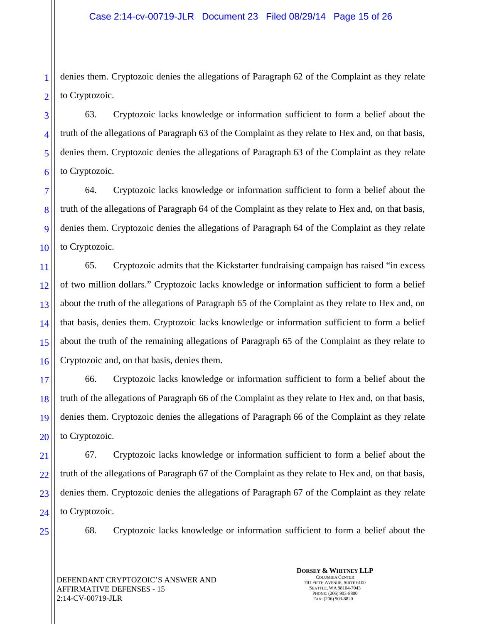2 denies them. Cryptozoic denies the allegations of Paragraph 62 of the Complaint as they relate to Cryptozoic.

5 63. Cryptozoic lacks knowledge or information sufficient to form a belief about the truth of the allegations of Paragraph 63 of the Complaint as they relate to Hex and, on that basis, denies them. Cryptozoic denies the allegations of Paragraph 63 of the Complaint as they relate to Cryptozoic.

8 10 64. Cryptozoic lacks knowledge or information sufficient to form a belief about the truth of the allegations of Paragraph 64 of the Complaint as they relate to Hex and, on that basis, denies them. Cryptozoic denies the allegations of Paragraph 64 of the Complaint as they relate to Cryptozoic.

11 12 13 14 15 16 65. Cryptozoic admits that the Kickstarter fundraising campaign has raised "in excess of two million dollars." Cryptozoic lacks knowledge or information sufficient to form a belief about the truth of the allegations of Paragraph 65 of the Complaint as they relate to Hex and, on that basis, denies them. Cryptozoic lacks knowledge or information sufficient to form a belief about the truth of the remaining allegations of Paragraph 65 of the Complaint as they relate to Cryptozoic and, on that basis, denies them.

17 18 19 20 66. Cryptozoic lacks knowledge or information sufficient to form a belief about the truth of the allegations of Paragraph 66 of the Complaint as they relate to Hex and, on that basis, denies them. Cryptozoic denies the allegations of Paragraph 66 of the Complaint as they relate to Cryptozoic.

21 22 23 24 67. Cryptozoic lacks knowledge or information sufficient to form a belief about the truth of the allegations of Paragraph 67 of the Complaint as they relate to Hex and, on that basis, denies them. Cryptozoic denies the allegations of Paragraph 67 of the Complaint as they relate to Cryptozoic.

25

1

3

4

6

7

9

68. Cryptozoic lacks knowledge or information sufficient to form a belief about the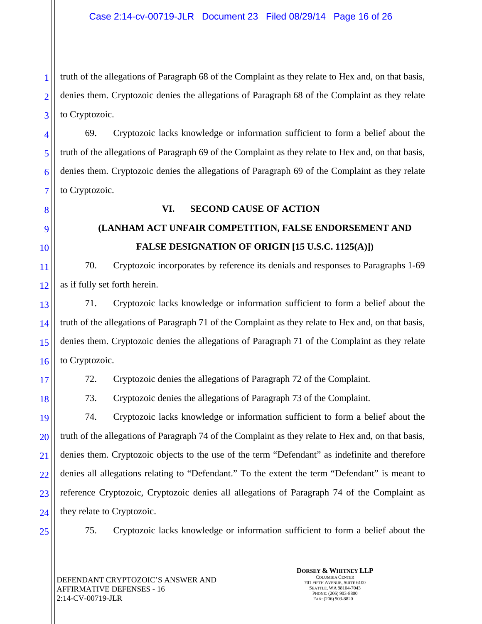2 3 truth of the allegations of Paragraph 68 of the Complaint as they relate to Hex and, on that basis, denies them. Cryptozoic denies the allegations of Paragraph 68 of the Complaint as they relate to Cryptozoic.

69. Cryptozoic lacks knowledge or information sufficient to form a belief about the truth of the allegations of Paragraph 69 of the Complaint as they relate to Hex and, on that basis, denies them. Cryptozoic denies the allegations of Paragraph 69 of the Complaint as they relate to Cryptozoic.

# **VI. SECOND CAUSE OF ACTION**

# **(LANHAM ACT UNFAIR COMPETITION, FALSE ENDORSEMENT AND FALSE DESIGNATION OF ORIGIN [15 U.S.C. 1125(A)])**

70. Cryptozoic incorporates by reference its denials and responses to Paragraphs 1-69 as if fully set forth herein.

13 14 15 16 71. Cryptozoic lacks knowledge or information sufficient to form a belief about the truth of the allegations of Paragraph 71 of the Complaint as they relate to Hex and, on that basis, denies them. Cryptozoic denies the allegations of Paragraph 71 of the Complaint as they relate to Cryptozoic.

17

18

1

4

5

6

7

8

9

10

11

12

72. Cryptozoic denies the allegations of Paragraph 72 of the Complaint.

73. Cryptozoic denies the allegations of Paragraph 73 of the Complaint.

19 20 21 22 23 24 74. Cryptozoic lacks knowledge or information sufficient to form a belief about the truth of the allegations of Paragraph 74 of the Complaint as they relate to Hex and, on that basis, denies them. Cryptozoic objects to the use of the term "Defendant" as indefinite and therefore denies all allegations relating to "Defendant." To the extent the term "Defendant" is meant to reference Cryptozoic, Cryptozoic denies all allegations of Paragraph 74 of the Complaint as they relate to Cryptozoic.

25

75. Cryptozoic lacks knowledge or information sufficient to form a belief about the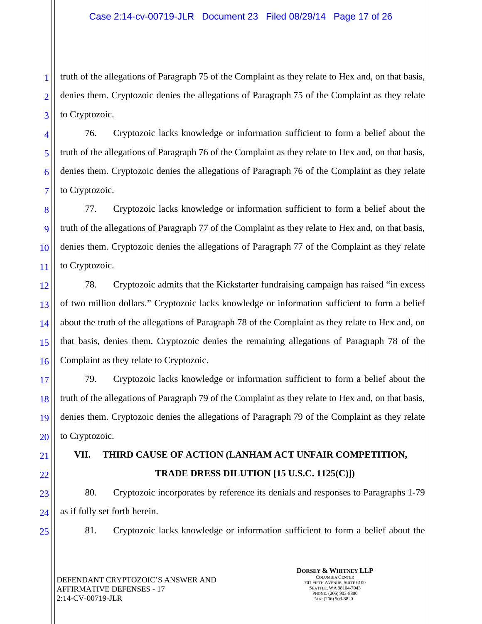3 truth of the allegations of Paragraph 75 of the Complaint as they relate to Hex and, on that basis, denies them. Cryptozoic denies the allegations of Paragraph 75 of the Complaint as they relate to Cryptozoic.

76. Cryptozoic lacks knowledge or information sufficient to form a belief about the truth of the allegations of Paragraph 76 of the Complaint as they relate to Hex and, on that basis, denies them. Cryptozoic denies the allegations of Paragraph 76 of the Complaint as they relate to Cryptozoic.

77. Cryptozoic lacks knowledge or information sufficient to form a belief about the truth of the allegations of Paragraph 77 of the Complaint as they relate to Hex and, on that basis, denies them. Cryptozoic denies the allegations of Paragraph 77 of the Complaint as they relate to Cryptozoic.

12 13 14 15 16 78. Cryptozoic admits that the Kickstarter fundraising campaign has raised "in excess of two million dollars." Cryptozoic lacks knowledge or information sufficient to form a belief about the truth of the allegations of Paragraph 78 of the Complaint as they relate to Hex and, on that basis, denies them. Cryptozoic denies the remaining allegations of Paragraph 78 of the Complaint as they relate to Cryptozoic.

17 18 19 20 79. Cryptozoic lacks knowledge or information sufficient to form a belief about the truth of the allegations of Paragraph 79 of the Complaint as they relate to Hex and, on that basis, denies them. Cryptozoic denies the allegations of Paragraph 79 of the Complaint as they relate to Cryptozoic.

**VII. THIRD CAUSE OF ACTION (LANHAM ACT UNFAIR COMPETITION, TRADE DRESS DILUTION [15 U.S.C. 1125(C)])** 

80. Cryptozoic incorporates by reference its denials and responses to Paragraphs 1-79 as if fully set forth herein.

25

21

22

23

24

1

2

4

5

6

7

8

9

10

11

81. Cryptozoic lacks knowledge or information sufficient to form a belief about the

DEFENDANT CRYPTOZOIC'S ANSWER AND AFFIRMATIVE DEFENSES - 17 2:14-CV-00719-JLR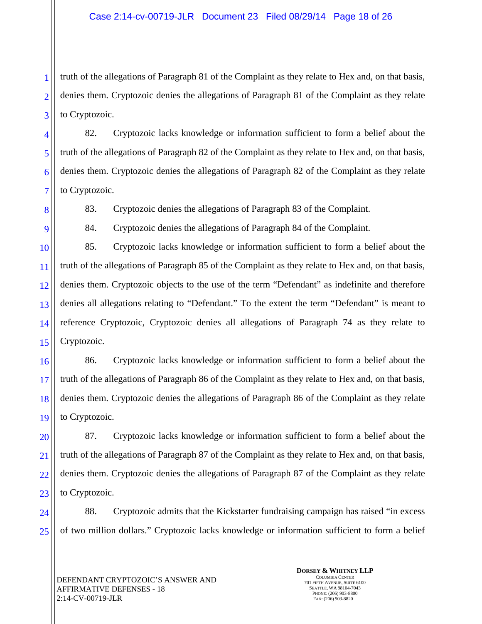truth of the allegations of Paragraph 81 of the Complaint as they relate to Hex and, on that basis, denies them. Cryptozoic denies the allegations of Paragraph 81 of the Complaint as they relate to Cryptozoic.

82. Cryptozoic lacks knowledge or information sufficient to form a belief about the truth of the allegations of Paragraph 82 of the Complaint as they relate to Hex and, on that basis, denies them. Cryptozoic denies the allegations of Paragraph 82 of the Complaint as they relate to Cryptozoic.

83. Cryptozoic denies the allegations of Paragraph 83 of the Complaint.

84. Cryptozoic denies the allegations of Paragraph 84 of the Complaint.

85. Cryptozoic lacks knowledge or information sufficient to form a belief about the truth of the allegations of Paragraph 85 of the Complaint as they relate to Hex and, on that basis, denies them. Cryptozoic objects to the use of the term "Defendant" as indefinite and therefore denies all allegations relating to "Defendant." To the extent the term "Defendant" is meant to reference Cryptozoic, Cryptozoic denies all allegations of Paragraph 74 as they relate to Cryptozoic.

86. Cryptozoic lacks knowledge or information sufficient to form a belief about the truth of the allegations of Paragraph 86 of the Complaint as they relate to Hex and, on that basis, denies them. Cryptozoic denies the allegations of Paragraph 86 of the Complaint as they relate to Cryptozoic.

87. Cryptozoic lacks knowledge or information sufficient to form a belief about the truth of the allegations of Paragraph 87 of the Complaint as they relate to Hex and, on that basis, denies them. Cryptozoic denies the allegations of Paragraph 87 of the Complaint as they relate to Cryptozoic.

24 25 88. Cryptozoic admits that the Kickstarter fundraising campaign has raised "in excess of two million dollars." Cryptozoic lacks knowledge or information sufficient to form a belief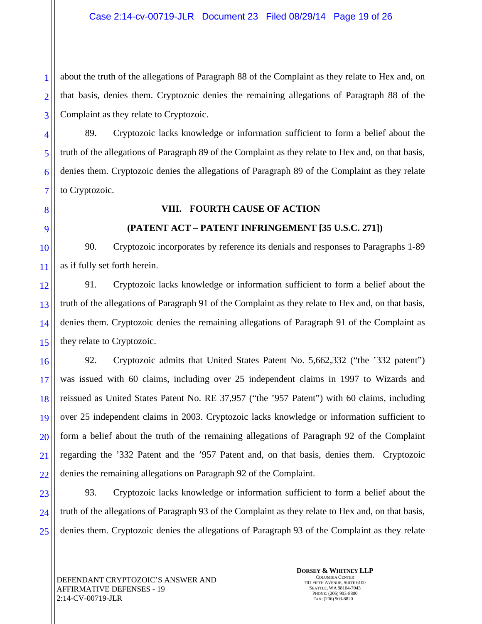3 about the truth of the allegations of Paragraph 88 of the Complaint as they relate to Hex and, on that basis, denies them. Cryptozoic denies the remaining allegations of Paragraph 88 of the Complaint as they relate to Cryptozoic.

89. Cryptozoic lacks knowledge or information sufficient to form a belief about the truth of the allegations of Paragraph 89 of the Complaint as they relate to Hex and, on that basis, denies them. Cryptozoic denies the allegations of Paragraph 89 of the Complaint as they relate to Cryptozoic.

## **VIII. FOURTH CAUSE OF ACTION**

# **(PATENT ACT – PATENT INFRINGEMENT [35 U.S.C. 271])**

90. Cryptozoic incorporates by reference its denials and responses to Paragraphs 1-89 as if fully set forth herein.

12 13 14 15 91. Cryptozoic lacks knowledge or information sufficient to form a belief about the truth of the allegations of Paragraph 91 of the Complaint as they relate to Hex and, on that basis, denies them. Cryptozoic denies the remaining allegations of Paragraph 91 of the Complaint as they relate to Cryptozoic.

16 17 18 19 20 21 22 92. Cryptozoic admits that United States Patent No. 5,662,332 ("the '332 patent") was issued with 60 claims, including over 25 independent claims in 1997 to Wizards and reissued as United States Patent No. RE 37,957 ("the '957 Patent") with 60 claims, including over 25 independent claims in 2003. Cryptozoic lacks knowledge or information sufficient to form a belief about the truth of the remaining allegations of Paragraph 92 of the Complaint regarding the '332 Patent and the '957 Patent and, on that basis, denies them. Cryptozoic denies the remaining allegations on Paragraph 92 of the Complaint.

23 24 25 93. Cryptozoic lacks knowledge or information sufficient to form a belief about the truth of the allegations of Paragraph 93 of the Complaint as they relate to Hex and, on that basis, denies them. Cryptozoic denies the allegations of Paragraph 93 of the Complaint as they relate

1

2

4

5

6

7

8

9

10

11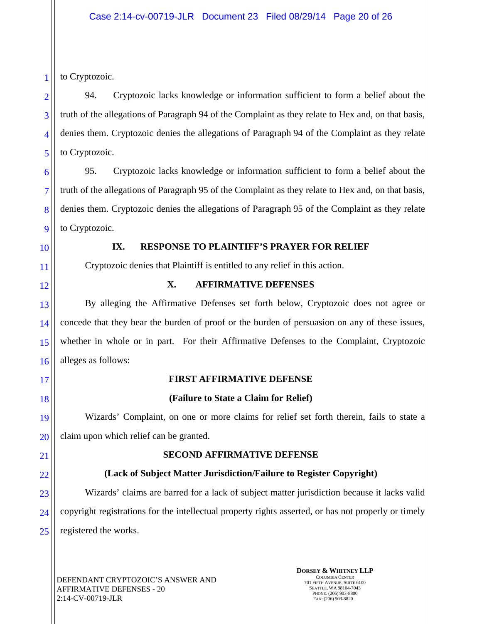to Cryptozoic.

94. Cryptozoic lacks knowledge or information sufficient to form a belief about the truth of the allegations of Paragraph 94 of the Complaint as they relate to Hex and, on that basis, denies them. Cryptozoic denies the allegations of Paragraph 94 of the Complaint as they relate to Cryptozoic.

95. Cryptozoic lacks knowledge or information sufficient to form a belief about the truth of the allegations of Paragraph 95 of the Complaint as they relate to Hex and, on that basis, denies them. Cryptozoic denies the allegations of Paragraph 95 of the Complaint as they relate to Cryptozoic.

# **IX. RESPONSE TO PLAINTIFF'S PRAYER FOR RELIEF**

Cryptozoic denies that Plaintiff is entitled to any relief in this action.

# **X. AFFIRMATIVE DEFENSES**

By alleging the Affirmative Defenses set forth below, Cryptozoic does not agree or concede that they bear the burden of proof or the burden of persuasion on any of these issues, whether in whole or in part. For their Affirmative Defenses to the Complaint, Cryptozoic alleges as follows:

# **FIRST AFFIRMATIVE DEFENSE**

# **(Failure to State a Claim for Relief)**

Wizards' Complaint, on one or more claims for relief set forth therein, fails to state a claim upon which relief can be granted.

# **SECOND AFFIRMATIVE DEFENSE**

# **(Lack of Subject Matter Jurisdiction/Failure to Register Copyright)**

Wizards' claims are barred for a lack of subject matter jurisdiction because it lacks valid copyright registrations for the intellectual property rights asserted, or has not properly or timely registered the works.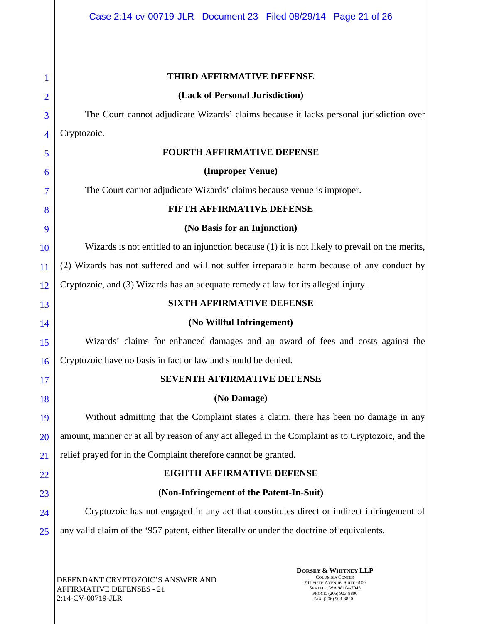#### **THIRD AFFIRMATIVE DEFENSE**

#### **(Lack of Personal Jurisdiction)**

The Court cannot adjudicate Wizards' claims because it lacks personal jurisdiction over Cryptozoic.

#### **FOURTH AFFIRMATIVE DEFENSE**

## **(Improper Venue)**

The Court cannot adjudicate Wizards' claims because venue is improper.

## **FIFTH AFFIRMATIVE DEFENSE**

#### **(No Basis for an Injunction)**

Wizards is not entitled to an injunction because (1) it is not likely to prevail on the merits,

11 (2) Wizards has not suffered and will not suffer irreparable harm because of any conduct by

12 Cryptozoic, and (3) Wizards has an adequate remedy at law for its alleged injury.

## **SIXTH AFFIRMATIVE DEFENSE**

#### **(No Willful Infringement)**

Wizards' claims for enhanced damages and an award of fees and costs against the Cryptozoic have no basis in fact or law and should be denied.

## **SEVENTH AFFIRMATIVE DEFENSE**

## **(No Damage)**

19 20 21 Without admitting that the Complaint states a claim, there has been no damage in any amount, manner or at all by reason of any act alleged in the Complaint as to Cryptozoic, and the relief prayed for in the Complaint therefore cannot be granted.

# 22

23

1

2

3

4

5

6

7

8

9

10

13

14

15

16

17

18

# **EIGHTH AFFIRMATIVE DEFENSE (Non-Infringement of the Patent-In-Suit)**

24 25 Cryptozoic has not engaged in any act that constitutes direct or indirect infringement of any valid claim of the '957 patent, either literally or under the doctrine of equivalents.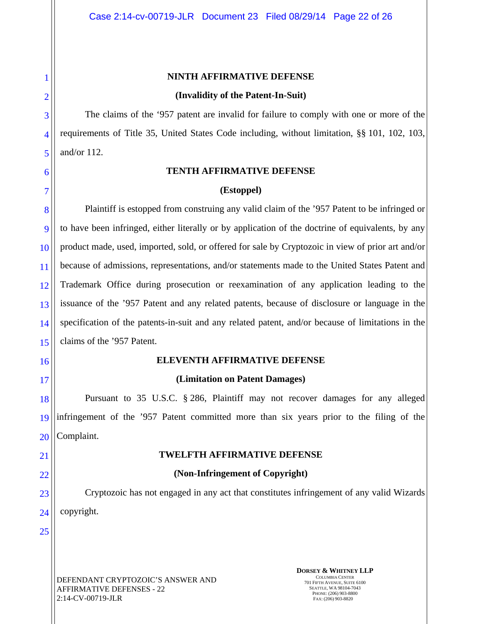#### **NINTH AFFIRMATIVE DEFENSE**

#### **(Invalidity of the Patent-In-Suit)**

The claims of the '957 patent are invalid for failure to comply with one or more of the requirements of Title 35, United States Code including, without limitation, §§ 101, 102, 103, and/or 112.

#### **TENTH AFFIRMATIVE DEFENSE**

#### **(Estoppel)**

8 9 10 11 12 13 14 15 Plaintiff is estopped from construing any valid claim of the '957 Patent to be infringed or to have been infringed, either literally or by application of the doctrine of equivalents, by any product made, used, imported, sold, or offered for sale by Cryptozoic in view of prior art and/or because of admissions, representations, and/or statements made to the United States Patent and Trademark Office during prosecution or reexamination of any application leading to the issuance of the '957 Patent and any related patents, because of disclosure or language in the specification of the patents-in-suit and any related patent, and/or because of limitations in the claims of the '957 Patent.

## **ELEVENTH AFFIRMATIVE DEFENSE**

## **(Limitation on Patent Damages)**

18 19 20 Pursuant to 35 U.S.C. § 286, Plaintiff may not recover damages for any alleged infringement of the '957 Patent committed more than six years prior to the filing of the Complaint.

## **TWELFTH AFFIRMATIVE DEFENSE**

#### **(Non-Infringement of Copyright)**

Cryptozoic has not engaged in any act that constitutes infringement of any valid Wizards copyright.

25

24

16

17

21

22

23

1

2

3

4

5

6

7

DEFENDANT CRYPTOZOIC'S ANSWER AND AFFIRMATIVE DEFENSES - 22 2:14-CV-00719-JLR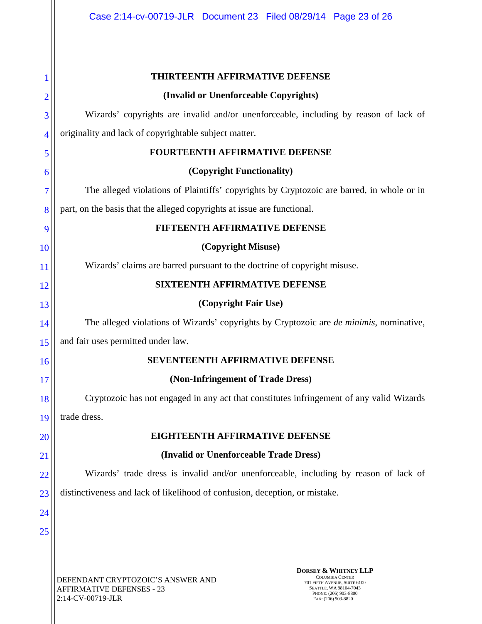|                | <b>THIRTEENTH AFFIRMATIVE DEFENSE</b>                                                                                                                                                                                                                             |  |  |  |  |
|----------------|-------------------------------------------------------------------------------------------------------------------------------------------------------------------------------------------------------------------------------------------------------------------|--|--|--|--|
| $\overline{2}$ | (Invalid or Unenforceable Copyrights)                                                                                                                                                                                                                             |  |  |  |  |
| 3              | Wizards' copyrights are invalid and/or unenforceable, including by reason of lack of                                                                                                                                                                              |  |  |  |  |
| 4              | originality and lack of copyrightable subject matter.                                                                                                                                                                                                             |  |  |  |  |
| 5              | FOURTEENTH AFFIRMATIVE DEFENSE                                                                                                                                                                                                                                    |  |  |  |  |
| 6              | (Copyright Functionality)                                                                                                                                                                                                                                         |  |  |  |  |
| 7              | The alleged violations of Plaintiffs' copyrights by Cryptozoic are barred, in whole or in                                                                                                                                                                         |  |  |  |  |
| 8              | part, on the basis that the alleged copyrights at issue are functional.                                                                                                                                                                                           |  |  |  |  |
| 9              | FIFTEENTH AFFIRMATIVE DEFENSE                                                                                                                                                                                                                                     |  |  |  |  |
| 10             | (Copyright Misuse)                                                                                                                                                                                                                                                |  |  |  |  |
| 11             | Wizards' claims are barred pursuant to the doctrine of copyright misuse.                                                                                                                                                                                          |  |  |  |  |
| 12             | <b>SIXTEENTH AFFIRMATIVE DEFENSE</b>                                                                                                                                                                                                                              |  |  |  |  |
| 13             | (Copyright Fair Use)                                                                                                                                                                                                                                              |  |  |  |  |
| 14             | The alleged violations of Wizards' copyrights by Cryptozoic are <i>de minimis</i> , nominative,                                                                                                                                                                   |  |  |  |  |
| 15             | and fair uses permitted under law.                                                                                                                                                                                                                                |  |  |  |  |
| 16             | <b>SEVENTEENTH AFFIRMATIVE DEFENSE</b>                                                                                                                                                                                                                            |  |  |  |  |
| 17             | (Non-Infringement of Trade Dress)                                                                                                                                                                                                                                 |  |  |  |  |
| 18             | Cryptozoic has not engaged in any act that constitutes infringement of any valid Wizards                                                                                                                                                                          |  |  |  |  |
| 19             | trade dress.                                                                                                                                                                                                                                                      |  |  |  |  |
| 20             | <b>EIGHTEENTH AFFIRMATIVE DEFENSE</b>                                                                                                                                                                                                                             |  |  |  |  |
| 21             | (Invalid or Unenforceable Trade Dress)                                                                                                                                                                                                                            |  |  |  |  |
| 22             | Wizards' trade dress is invalid and/or unenforceable, including by reason of lack of                                                                                                                                                                              |  |  |  |  |
| 23             | distinctiveness and lack of likelihood of confusion, deception, or mistake.                                                                                                                                                                                       |  |  |  |  |
| 24             |                                                                                                                                                                                                                                                                   |  |  |  |  |
| 25             |                                                                                                                                                                                                                                                                   |  |  |  |  |
|                |                                                                                                                                                                                                                                                                   |  |  |  |  |
|                | <b>DORSEY &amp; WHITNEY LLP</b><br><b>COLUMBIA CENTER</b><br>DEFENDANT CRYPTOZOIC'S ANSWER AND<br>701 FIFTH AVENUE, SUITE 6100<br><b>AFFIRMATIVE DEFENSES - 23</b><br>SEATTLE, WA 98104-7043<br>PHONE: (206) 903-8800<br>2:14-CV-00719-JLR<br>FAX: (206) 903-8820 |  |  |  |  |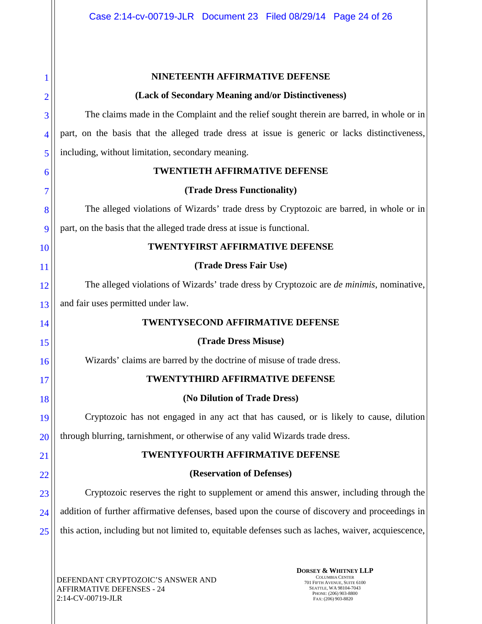|                | NINETEENTH AFFIRMATIVE DEFENSE                                                                      |  |  |  |
|----------------|-----------------------------------------------------------------------------------------------------|--|--|--|
| $\overline{2}$ | (Lack of Secondary Meaning and/or Distinctiveness)                                                  |  |  |  |
| 3              | The claims made in the Complaint and the relief sought therein are barred, in whole or in           |  |  |  |
| 4              | part, on the basis that the alleged trade dress at issue is generic or lacks distinctiveness,       |  |  |  |
| 5              | including, without limitation, secondary meaning.                                                   |  |  |  |
| 6              | <b>TWENTIETH AFFIRMATIVE DEFENSE</b>                                                                |  |  |  |
| 7              | (Trade Dress Functionality)                                                                         |  |  |  |
| 8              | The alleged violations of Wizards' trade dress by Cryptozoic are barred, in whole or in             |  |  |  |
| 9              | part, on the basis that the alleged trade dress at issue is functional.                             |  |  |  |
| 10             | TWENTYFIRST AFFIRMATIVE DEFENSE                                                                     |  |  |  |
| <sup>11</sup>  | (Trade Dress Fair Use)                                                                              |  |  |  |
| 12             | The alleged violations of Wizards' trade dress by Cryptozoic are <i>de minimis</i> , nominative,    |  |  |  |
| 13             | and fair uses permitted under law.                                                                  |  |  |  |
| 14             | TWENTYSECOND AFFIRMATIVE DEFENSE                                                                    |  |  |  |
| 15             | (Trade Dress Misuse)                                                                                |  |  |  |
| 16             | Wizards' claims are barred by the doctrine of misuse of trade dress.                                |  |  |  |
| 17             | TWENTYTHIRD AFFIRMATIVE DEFENSE                                                                     |  |  |  |
| 18             | (No Dilution of Trade Dress)                                                                        |  |  |  |
| 19             | Cryptozoic has not engaged in any act that has caused, or is likely to cause, dilution              |  |  |  |
| 20             | through blurring, tarnishment, or otherwise of any valid Wizards trade dress.                       |  |  |  |
| 21             | <b>TWENTYFOURTH AFFIRMATIVE DEFENSE</b>                                                             |  |  |  |
| 22             | (Reservation of Defenses)                                                                           |  |  |  |
| 23             | Cryptozoic reserves the right to supplement or amend this answer, including through the             |  |  |  |
| 24             | addition of further affirmative defenses, based upon the course of discovery and proceedings in     |  |  |  |
| 25             | this action, including but not limited to, equitable defenses such as laches, waiver, acquiescence, |  |  |  |
|                |                                                                                                     |  |  |  |
|                | <b>DORSEY &amp; WHITNEY LLP</b><br>COLUMBIA CENTER<br>EFFNDANT CRYPTOZOIC'S ANSWER AND              |  |  |  |

DEFENDANT CRYPTOZOIC'S ANSWER AND AFFIRMATIVE DEFENSES - 24 2:14-CV-00719-JLR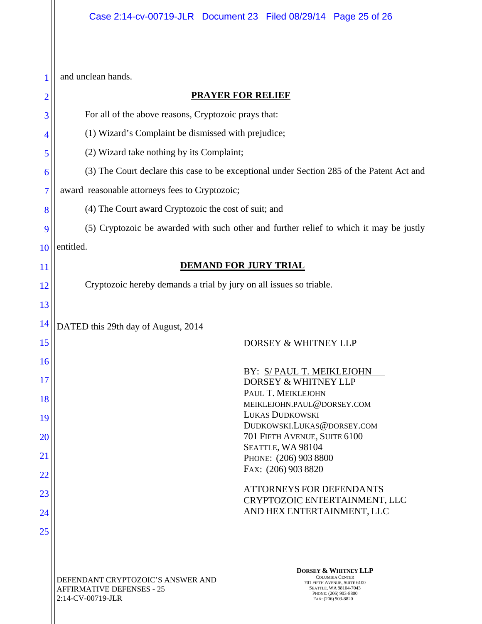1 and unclean hands.

| <b>PRAYER FOR RELIEF</b>                                                                                                                                                                                                       |  |  |  |  |
|--------------------------------------------------------------------------------------------------------------------------------------------------------------------------------------------------------------------------------|--|--|--|--|
| For all of the above reasons, Cryptozoic prays that:                                                                                                                                                                           |  |  |  |  |
| (1) Wizard's Complaint be dismissed with prejudice;                                                                                                                                                                            |  |  |  |  |
| (2) Wizard take nothing by its Complaint;                                                                                                                                                                                      |  |  |  |  |
| (3) The Court declare this case to be exceptional under Section 285 of the Patent Act and                                                                                                                                      |  |  |  |  |
| award reasonable attorneys fees to Cryptozoic;                                                                                                                                                                                 |  |  |  |  |
| (4) The Court award Cryptozoic the cost of suit; and<br>8                                                                                                                                                                      |  |  |  |  |
| (5) Cryptozoic be awarded with such other and further relief to which it may be justly<br>9                                                                                                                                    |  |  |  |  |
| entitled.                                                                                                                                                                                                                      |  |  |  |  |
| 10<br><b>DEMAND FOR JURY TRIAL</b><br>11                                                                                                                                                                                       |  |  |  |  |
| Cryptozoic hereby demands a trial by jury on all issues so triable.                                                                                                                                                            |  |  |  |  |
|                                                                                                                                                                                                                                |  |  |  |  |
|                                                                                                                                                                                                                                |  |  |  |  |
| DATED this 29th day of August, 2014<br>DORSEY & WHITNEY LLP                                                                                                                                                                    |  |  |  |  |
|                                                                                                                                                                                                                                |  |  |  |  |
| BY: S/PAUL T. MEIKLEJOHN                                                                                                                                                                                                       |  |  |  |  |
| DORSEY & WHITNEY LLP<br>PAUL T. MEIKLEJOHN                                                                                                                                                                                     |  |  |  |  |
| MEIKLEJOHN.PAUL@DORSEY.COM<br>LUKAS DUDKOWSKI                                                                                                                                                                                  |  |  |  |  |
| DUDKOWSKI.LUKAS@DORSEY.COM                                                                                                                                                                                                     |  |  |  |  |
| 701 FIFTH AVENUE, SUITE 6100<br>SEATTLE, WA 98104                                                                                                                                                                              |  |  |  |  |
| PHONE: (206) 903 8800<br>FAX: (206) 903 8820                                                                                                                                                                                   |  |  |  |  |
|                                                                                                                                                                                                                                |  |  |  |  |
| <b>ATTORNEYS FOR DEFENDANTS</b><br>CRYPTOZOIC ENTERTAINMENT, LLC                                                                                                                                                               |  |  |  |  |
| AND HEX ENTERTAINMENT, LLC                                                                                                                                                                                                     |  |  |  |  |
|                                                                                                                                                                                                                                |  |  |  |  |
| <b>DORSEY &amp; WHITNEY LLP</b>                                                                                                                                                                                                |  |  |  |  |
| <b>COLUMBIA CENTER</b><br>DEFENDANT CRYPTOZOIC'S ANSWER AND<br>701 FIFTH AVENUE, SUITE 6100<br><b>AFFIRMATIVE DEFENSES - 25</b><br>SEATTLE, WA 98104-7043<br>PHONE: (206) 903-8800<br>2:14-CV-00719-JLR<br>FAX: (206) 903-8820 |  |  |  |  |
|                                                                                                                                                                                                                                |  |  |  |  |